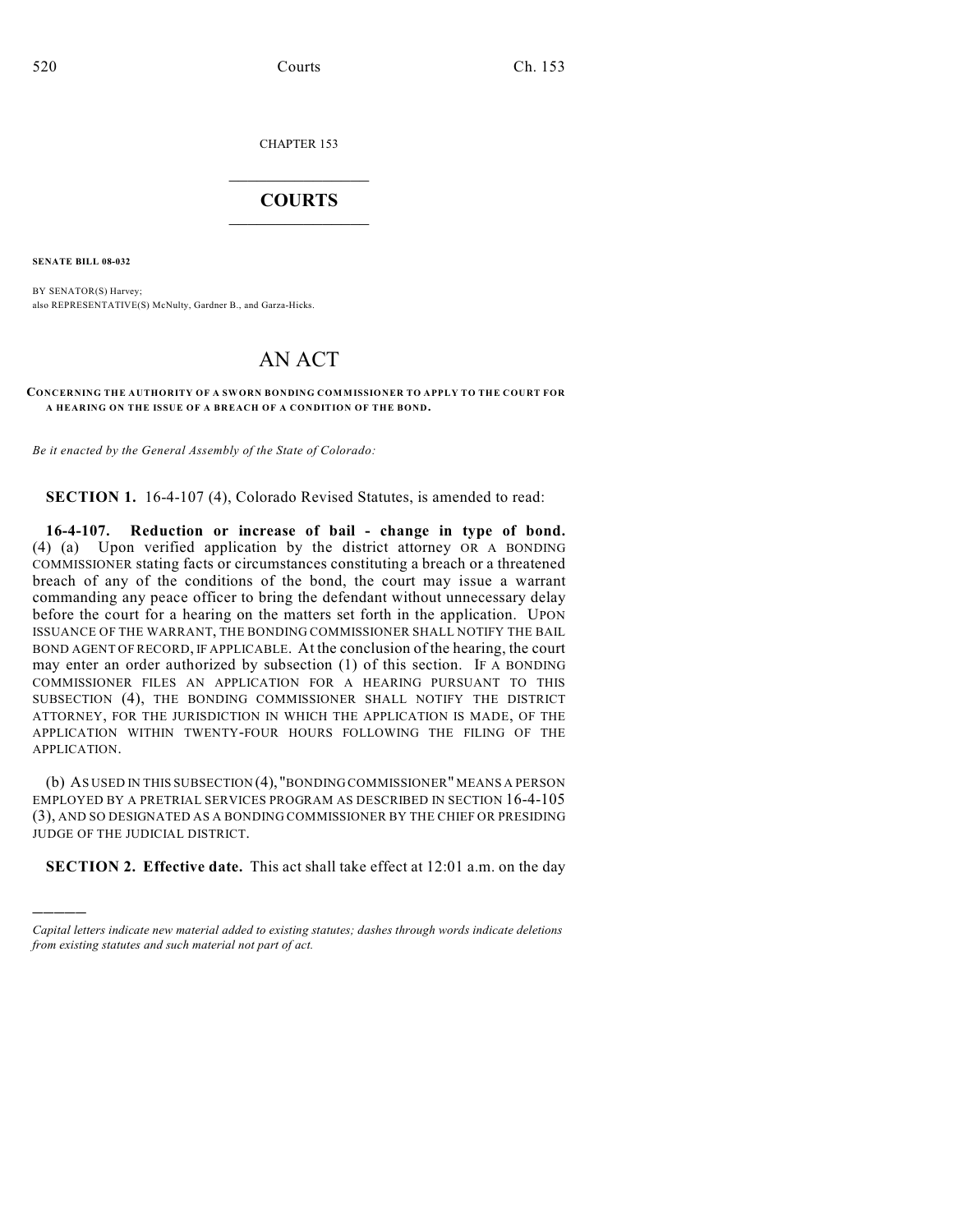CHAPTER 153

## $\overline{\phantom{a}}$  . The set of the set of the set of the set of the set of the set of the set of the set of the set of the set of the set of the set of the set of the set of the set of the set of the set of the set of the set o **COURTS**  $\_$   $\_$   $\_$   $\_$   $\_$   $\_$   $\_$   $\_$

**SENATE BILL 08-032**

)))))

BY SENATOR(S) Harvey; also REPRESENTATIVE(S) McNulty, Gardner B., and Garza-Hicks.

## AN ACT

## **CONCERNING THE AUTHORITY OF A SWORN BONDING COMMISSIONER TO APPLY TO THE COURT FOR A HEARING ON THE ISSUE OF A BREACH OF A CONDITION OF THE BOND.**

*Be it enacted by the General Assembly of the State of Colorado:*

**SECTION 1.** 16-4-107 (4), Colorado Revised Statutes, is amended to read:

**16-4-107. Reduction or increase of bail - change in type of bond.** (4) (a) Upon verified application by the district attorney OR A BONDING COMMISSIONER stating facts or circumstances constituting a breach or a threatened breach of any of the conditions of the bond, the court may issue a warrant commanding any peace officer to bring the defendant without unnecessary delay before the court for a hearing on the matters set forth in the application. UPON ISSUANCE OF THE WARRANT, THE BONDING COMMISSIONER SHALL NOTIFY THE BAIL BOND AGENT OF RECORD, IF APPLICABLE. At the conclusion of the hearing, the court may enter an order authorized by subsection (1) of this section. IF A BONDING COMMISSIONER FILES AN APPLICATION FOR A HEARING PURSUANT TO THIS SUBSECTION (4), THE BONDING COMMISSIONER SHALL NOTIFY THE DISTRICT ATTORNEY, FOR THE JURISDICTION IN WHICH THE APPLICATION IS MADE, OF THE APPLICATION WITHIN TWENTY-FOUR HOURS FOLLOWING THE FILING OF THE APPLICATION.

(b) AS USED IN THIS SUBSECTION (4), "BONDING COMMISSIONER" MEANS A PERSON EMPLOYED BY A PRETRIAL SERVICES PROGRAM AS DESCRIBED IN SECTION 16-4-105 (3), AND SO DESIGNATED AS A BONDING COMMISSIONER BY THE CHIEF OR PRESIDING JUDGE OF THE JUDICIAL DISTRICT.

**SECTION 2. Effective date.** This act shall take effect at 12:01 a.m. on the day

*Capital letters indicate new material added to existing statutes; dashes through words indicate deletions from existing statutes and such material not part of act.*